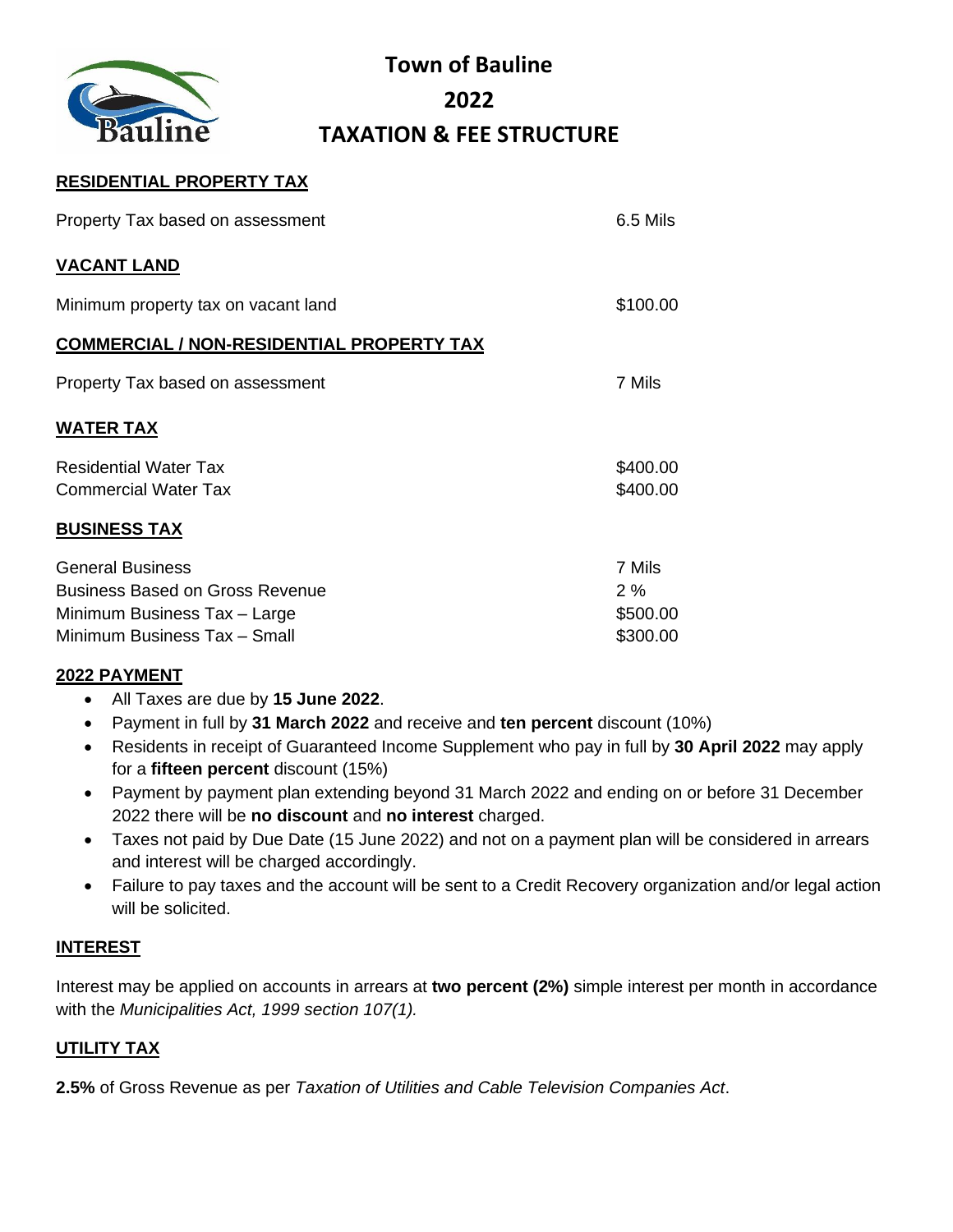

# **Town of Bauline 2022 TAXATION & FEE STRUCTURE**

### **RESIDENTIAL PROPERTY TAX**

| Property Tax based on assessment                            | 6.5 Mils             |
|-------------------------------------------------------------|----------------------|
| <b>VACANT LAND</b>                                          |                      |
| Minimum property tax on vacant land                         | \$100.00             |
| <b>COMMERCIAL / NON-RESIDENTIAL PROPERTY TAX</b>            |                      |
| Property Tax based on assessment                            | 7 Mils               |
| <b>WATER TAX</b>                                            |                      |
| <b>Residential Water Tax</b><br><b>Commercial Water Tax</b> | \$400.00<br>\$400.00 |
| <b>BUSINESS TAX</b>                                         |                      |
| $\sim$ $\sim$ $\sim$ $\sim$                                 | —                    |

| General Business                | 7 Mils   |
|---------------------------------|----------|
| Business Based on Gross Revenue | 2%       |
| Minimum Business Tax – Large    | \$500.00 |
| Minimum Business Tax - Small    | \$300.00 |

### **2022 PAYMENT**

- All Taxes are due by **15 June 2022**.
- Payment in full by **31 March 2022** and receive and **ten percent** discount (10%)
- Residents in receipt of Guaranteed Income Supplement who pay in full by **30 April 2022** may apply for a **fifteen percent** discount (15%)
- Payment by payment plan extending beyond 31 March 2022 and ending on or before 31 December 2022 there will be **no discount** and **no interest** charged.
- Taxes not paid by Due Date (15 June 2022) and not on a payment plan will be considered in arrears and interest will be charged accordingly.
- Failure to pay taxes and the account will be sent to a Credit Recovery organization and/or legal action will be solicited.

### **INTEREST**

Interest may be applied on accounts in arrears at **two percent (2%)** simple interest per month in accordance with the *Municipalities Act, 1999 section 107(1).*

### **UTILITY TAX**

**2.5%** of Gross Revenue as per *Taxation of Utilities and Cable Television Companies Act*.